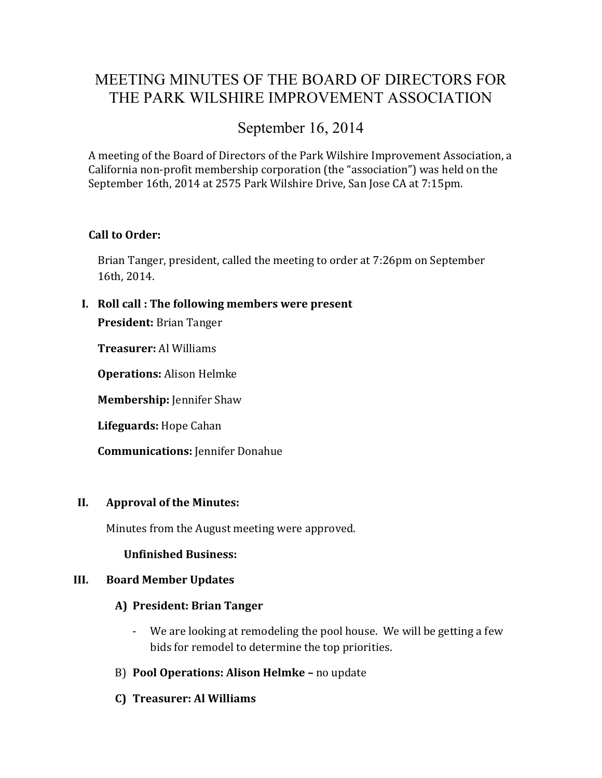## MEETING MINUTES OF THE BOARD OF DIRECTORS FOR THE PARK WILSHIRE IMPROVEMENT ASSOCIATION

# September 16, 2014

A meeting of the Board of Directors of the Park Wilshire Improvement Association, a California non-profit membership corporation (the "association") was held on the September 16th, 2014 at 2575 Park Wilshire Drive, San Jose CA at 7:15pm.

## **Call to Order:**

Brian Tanger, president, called the meeting to order at 7:26pm on September 16th, 2014.

**I. Roll call : The following members were present**

**President:** Brian Tanger

**Treasurer:** Al Williams

**Operations:** Alison Helmke

**Membership:** Jennifer Shaw

**Lifeguards:** Hope Cahan

**Communications:** Jennifer Donahue

#### **II. Approval of the Minutes:**

Minutes from the August meeting were approved.

**Unfinished Business:**

#### **III. Board Member Updates**

#### **A) President: Brian Tanger**

- We are looking at remodeling the pool house. We will be getting a few bids for remodel to determine the top priorities.
- B) **Pool Operations: Alison Helmke –** no update
- **C) Treasurer: Al Williams**